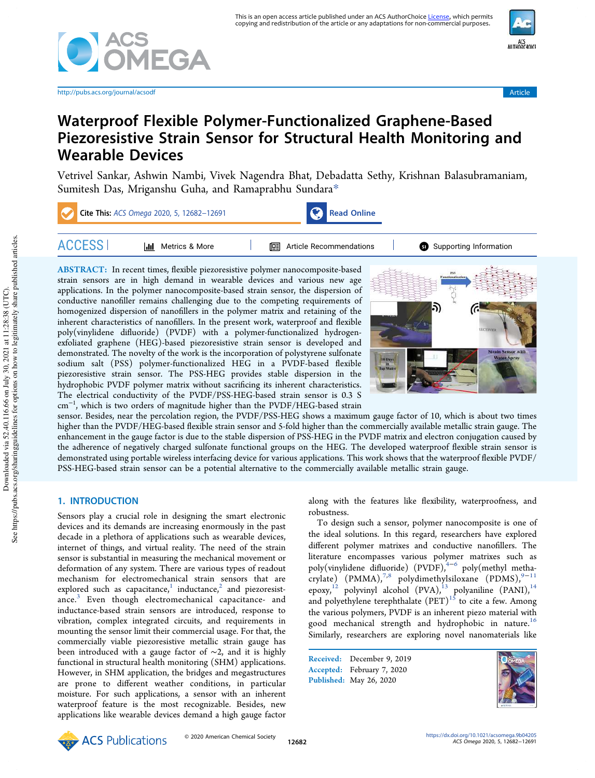

http://pubs.acs.org/journal/acsodf Article



# Waterproof Flexible Polymer-Functionalized Graphene-Based Piezoresistive Strain Sensor for Structural Health Monitoring and Wearable Devices

Vetrivel Sankar, Ashwin Nambi, Vivek Nagendra Bhat, Debadatta Sethy, Krishnan Balasubramaniam, Sumitesh Das, Mriganshu Guha, and Ramaprabhu Sundara\*



ABSTRACT: In recent times, flexible piezoresistive polymer nanocomposite-based strain sensors are in high demand in wearable devices and various new age applications. In the polymer nanocomposite-based strain sensor, the dispersion of conductive nanofiller remains challenging due to the competing requirements of homogenized dispersion of nanofillers in the polymer matrix and retaining of the inherent characteristics of nanofillers. In the present work, waterproof and flexible poly(vinylidene difluoride) (PVDF) with a polymer-functionalized hydrogenexfoliated graphene (HEG)-based piezoresistive strain sensor is developed and demonstrated. The novelty of the work is the incorporation of polystyrene sulfonate sodium salt (PSS) polymer-functionalized HEG in a PVDF-based flexible piezoresistive strain sensor. The PSS-HEG provides stable dispersion in the hydrophobic PVDF polymer matrix without sacrificing its inherent characteristics. The electrical conductivity of the PVDF/PSS-HEG-based strain sensor is 0.3 S cm<sup>−</sup><sup>1</sup> , which is two orders of magnitude higher than the PVDF/HEG-based strain



sensor. Besides, near the percolation region, the PVDF/PSS-HEG shows a maximum gauge factor of 10, which is about two times higher than the PVDF/HEG-based flexible strain sensor and 5-fold higher than the commercially available metallic strain gauge. The enhancement in the gauge factor is due to the stable dispersion of PSS-HEG in the PVDF matrix and electron conjugation caused by the adherence of negatively charged sulfonate functional groups on the HEG. The developed waterproof flexible strain sensor is demonstrated using portable wireless interfacing device for various applications. This work shows that the waterproof flexible PVDF/ PSS-HEG-based strain sensor can be a potential alternative to the commercially available metallic strain gauge.

# 1. INTRODUCTION

Sensors play a crucial role in designing the smart electronic devices and its demands are increasing enormously in the past decade in a plethora of applications such as wearable devices, internet of things, and virtual reality. The need of the strain sensor is substantial in measuring the mechanical movement or deformation of any system. There are various types of readout mechanism for electromechanical strain sensors that are explored such as capacitance, $^{1}$  inductance, $^{2}$  and piezoresistance.<sup>3</sup> Even though electromechanical capacitance- and inductance-based strain sensors are introduced, response to vibration, complex integrated circuits, and requirements in mounting the sensor limit their commercial usage. For that, the commercially viable piezoresistive metallic strain gauge has been introduced with a gauge factor of ∼2, and it is highly functional in structural health monitoring (SHM) applications. However, in SHM application, the bridges and megastructures are prone to different weather conditions, in particular moisture. For such applications, a sensor with an inherent waterproof feature is the most recognizable. Besides, new applications like wearable devices demand a high gauge factor

along with the features like flexibility, waterproofness, and robustness.

To design such a sensor, polymer nanocomposite is one of the ideal solutions. In this regard, researchers have explored different polymer matrixes and conductive nanofillers. The literature encompasses various polymer matrixes such as poly(vinylidene difluoride) (PVDF),<sup>4−6</sup> poly(methyl metha- $\text{crylate}$ ) (PMMA),<sup>7,8</sup> polydimethylsiloxane (PDMS),<sup>9−11</sup> epoxy,<sup>12</sup> polyvinyl alcohol  $(PVA)$ ,<sup>13</sup> polyaniline  $(PANI)$ ,<sup>14</sup> and polyethylene terephthalate  $(PET)^{15}$  to cite a few. Among the various polymers, PVDF is an inherent piezo material with good mechanical strength and hydrophobic in nature.<sup>16</sup> Similarly, researchers are exploring novel nanomaterials like

Received: December 9, 2019 Accepted: February 7, 2020 Published: May 26, 2020



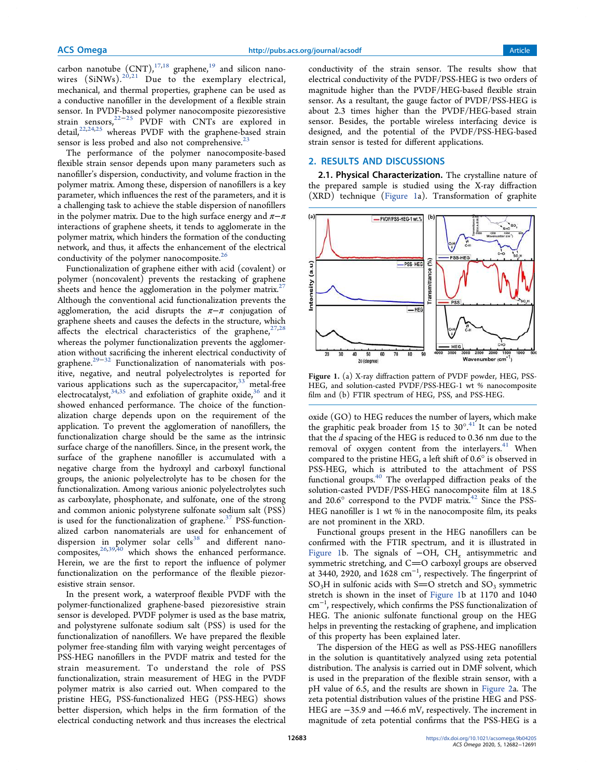carbon nanotube  $(CNT)$ ,  $17,18}$  graphene,  $19$  and silicon nanowires  $(SiNWs).^{20,21}$  Due to the exemplary electrical, mechanical, and thermal properties, graphene can be used as a conductive nanofiller in the development of a flexible strain sensor. In PVDF-based polymer nanocomposite piezoresistive strain sensors,<sup>22-25</sup> PVDF with CNTs are explored in detail,<sup>22,24,25</sup> whereas PVDF with the graphene-based strain sensor is less probed and also not comprehensive.<sup>23</sup>

The performance of the polymer nanocomposite-based flexible strain sensor depends upon many parameters such as nanofiller's dispersion, conductivity, and volume fraction in the polymer matrix. Among these, dispersion of nanofillers is a key parameter, which influences the rest of the parameters, and it is a challenging task to achieve the stable dispersion of nanofillers in the polymer matrix. Due to the high surface energy and  $\pi-\pi$ interactions of graphene sheets, it tends to agglomerate in the polymer matrix, which hinders the formation of the conducting network, and thus, it affects the enhancement of the electrical conductivity of the polymer nanocomposite.<sup>26</sup>

Functionalization of graphene either with acid (covalent) or polymer (noncovalent) prevents the restacking of graphene sheets and hence the agglomeration in the polymer matrix.<sup>27</sup> Although the conventional acid functionalization prevents the agglomeration, the acid disrupts the  $\pi-\pi$  conjugation of graphene sheets and causes the defects in the structure, which affects the electrical characteristics of the graphene,  $27,28$ whereas the polymer functionalization prevents the agglomeration without sacrificing the inherent electrical conductivity of graphene.<sup>29−32</sup> Functionalization of nanomaterials with positive, negative, and neutral polyelectrolytes is reported for various applications such as the supercapacitor,  $33$  metal-free electrocatalyst,  $34,35$  and exfoliation of graphite oxide,  $36$  and it showed enhanced performance. The choice of the functionalization charge depends upon on the requirement of the application. To prevent the agglomeration of nanofillers, the functionalization charge should be the same as the intrinsic surface charge of the nanofillers. Since, in the present work, the surface of the graphene nanofiller is accumulated with a negative charge from the hydroxyl and carboxyl functional groups, the anionic polyelectrolyte has to be chosen for the functionalization. Among various anionic polyelectrolytes such as carboxylate, phosphonate, and sulfonate, one of the strong and common anionic polystyrene sulfonate sodium salt (PSS) is used for the functionalization of graphene. $37$  PSS-functionalized carbon nanomaterials are used for enhancement of dispersion in polymer solar cells<sup>38</sup> and different nanocomposites,  $26,39,40$  which shows the enhanced performance. Herein, we are the first to report the influence of polymer functionalization on the performance of the flexible piezoresistive strain sensor.

In the present work, a waterproof flexible PVDF with the polymer-functionalized graphene-based piezoresistive strain sensor is developed. PVDF polymer is used as the base matrix, and polystyrene sulfonate sodium salt (PSS) is used for the functionalization of nanofillers. We have prepared the flexible polymer free-standing film with varying weight percentages of PSS-HEG nanofillers in the PVDF matrix and tested for the strain measurement. To understand the role of PSS functionalization, strain measurement of HEG in the PVDF polymer matrix is also carried out. When compared to the pristine HEG, PSS-functionalized HEG (PSS-HEG) shows better dispersion, which helps in the firm formation of the electrical conducting network and thus increases the electrical

conductivity of the strain sensor. The results show that electrical conductivity of the PVDF/PSS-HEG is two orders of magnitude higher than the PVDF/HEG-based flexible strain sensor. As a resultant, the gauge factor of PVDF/PSS-HEG is about 2.3 times higher than the PVDF/HEG-based strain sensor. Besides, the portable wireless interfacing device is designed, and the potential of the PVDF/PSS-HEG-based strain sensor is tested for different applications.

# 2. RESULTS AND DISCUSSIONS

2.1. Physical Characterization. The crystalline nature of the prepared sample is studied using the X-ray diffraction (XRD) technique (Figure 1a). Transformation of graphite



Figure 1. (a) X-ray diffraction pattern of PVDF powder, HEG, PSS-HEG, and solution-casted PVDF/PSS-HEG-1 wt % nanocomposite film and (b) FTIR spectrum of HEG, PSS, and PSS-HEG.

oxide (GO) to HEG reduces the number of layers, which make the graphitic peak broader from 15 to  $30^{\circ}.^{41}$  It can be noted that the *d* spacing of the HEG is reduced to 0.36 nm due to the removal of oxygen content from the interlayers. $41$  When compared to the pristine HEG, a left shift of 0.6° is observed in PSS-HEG, which is attributed to the attachment of PSS functional groups.<sup>40</sup> The overlapped diffraction peaks of the solution-casted PVDF/PSS-HEG nanocomposite film at 18.5 and  $20.6^\circ$  correspond to the PVDF matrix.<sup>42</sup> Since the PSS-HEG nanofiller is 1 wt % in the nanocomposite film, its peaks are not prominent in the XRD.

Functional groups present in the HEG nanofillers can be confirmed with the FTIR spectrum, and it is illustrated in Figure 1b. The signals of −OH, CH*<sup>x</sup>* antisymmetric and symmetric stretching, and  $C=O$  carboxyl groups are observed at 3440, 2920, and 1628 cm<sup>−</sup><sup>1</sup> , respectively. The fingerprint of  $SO_3H$  in sulfonic acids with S=O stretch and  $SO_3$  symmetric stretch is shown in the inset of Figure 1b at 1170 and 1040 cm<sup>−</sup><sup>1</sup> , respectively, which confirms the PSS functionalization of HEG. The anionic sulfonate functional group on the HEG helps in preventing the restacking of graphene, and implication of this property has been explained later.

The dispersion of the HEG as well as PSS-HEG nanofillers in the solution is quantitatively analyzed using zeta potential distribution. The analysis is carried out in DMF solvent, which is used in the preparation of the flexible strain sensor, with a pH value of 6.5, and the results are shown in Figure 2a. The zeta potential distribution values of the pristine HEG and PSS-HEG are −35.9 and −46.6 mV, respectively. The increment in magnitude of zeta potential confirms that the PSS-HEG is a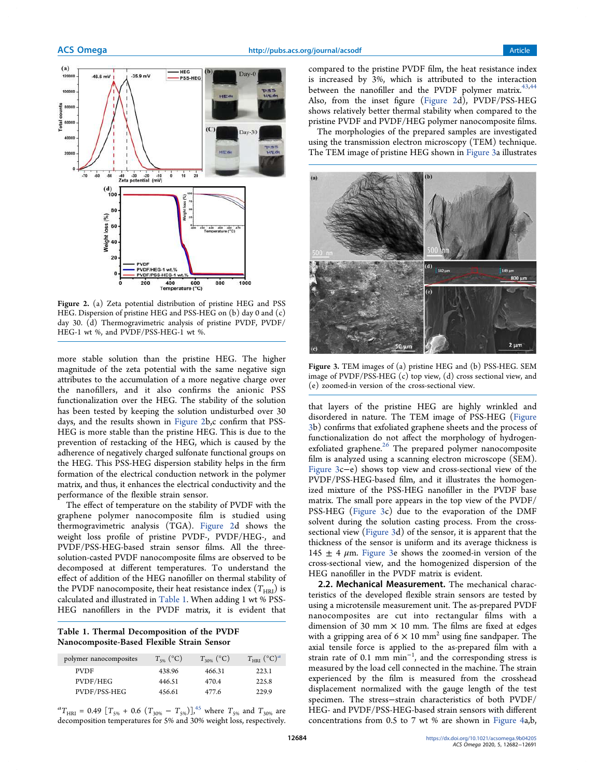

Figure 2. (a) Zeta potential distribution of pristine HEG and PSS HEG. Dispersion of pristine HEG and PSS-HEG on (b) day 0 and (c) day 30. (d) Thermogravimetric analysis of pristine PVDF, PVDF/ HEG-1 wt %, and PVDF/PSS-HEG-1 wt %.

more stable solution than the pristine HEG. The higher magnitude of the zeta potential with the same negative sign attributes to the accumulation of a more negative charge over the nanofillers, and it also confirms the anionic PSS functionalization over the HEG. The stability of the solution has been tested by keeping the solution undisturbed over 30 days, and the results shown in Figure 2b,c confirm that PSS-HEG is more stable than the pristine HEG. This is due to the prevention of restacking of the HEG, which is caused by the adherence of negatively charged sulfonate functional groups on the HEG. This PSS-HEG dispersion stability helps in the firm formation of the electrical conduction network in the polymer matrix, and thus, it enhances the electrical conductivity and the performance of the flexible strain sensor.

The effect of temperature on the stability of PVDF with the graphene polymer nanocomposite film is studied using thermogravimetric analysis (TGA). Figure 2d shows the weight loss profile of pristine PVDF-, PVDF/HEG-, and PVDF/PSS-HEG-based strain sensor films. All the threesolution-casted PVDF nanocomposite films are observed to be decomposed at different temperatures. To understand the effect of addition of the HEG nanofiller on thermal stability of the PVDF nanocomposite, their heat resistance index  $(T_{HRI})$  is calculated and illustrated in Table 1. When adding 1 wt % PSS-HEG nanofillers in the PVDF matrix, it is evident that

Table 1. Thermal Decomposition of the PVDF Nanocomposite-Based Flexible Strain Sensor

| polymer nanocomposites | $T_{5\%}$ (°C) | $T_{30\%}$ (°C) | $T_{\rm HRI}$ (°C) <sup>a</sup> |
|------------------------|----------------|-----------------|---------------------------------|
| <b>PVDF</b>            | 438.96         | 466.31          | 223.1                           |
| PVDF/HEG               | 446.51         | 470.4           | 225.8                           |
| PVDF/PSS-HEG           | 456.61         | 477.6           | 229.9                           |

 ${}^{a}T_{\text{HRI}} = 0.49 \left[ T_{5\%} + 0.6 \left( T_{30\%} - T_{5\%} \right) \right]$ ,<sup>45</sup> where  $T_{5\%}$  and  $T_{30\%}$  are decomposition temperatures for 5% and 30% weight loss, respectively.

compared to the pristine PVDF film, the heat resistance index is increased by 3%, which is attributed to the interaction between the nanofiller and the PVDF polymer matrix. $43,44$ Also, from the inset figure (Figure 2d), PVDF/PSS-HEG shows relatively better thermal stability when compared to the pristine PVDF and PVDF/HEG polymer nanocomposite films.

The morphologies of the prepared samples are investigated using the transmission electron microscopy (TEM) technique. The TEM image of pristine HEG shown in Figure 3a illustrates



Figure 3. TEM images of (a) pristine HEG and (b) PSS-HEG. SEM image of PVDF/PSS-HEG (c) top view, (d) cross sectional view, and (e) zoomed-in version of the cross-sectional view.

that layers of the pristine HEG are highly wrinkled and disordered in nature. The TEM image of PSS-HEG (Figure 3b) confirms that exfoliated graphene sheets and the process of functionalization do not affect the morphology of hydrogenexfoliated graphene. $26$  The prepared polymer nanocomposite film is analyzed using a scanning electron microscope (SEM). Figure 3c−e) shows top view and cross-sectional view of the PVDF/PSS-HEG-based film, and it illustrates the homogenized mixture of the PSS-HEG nanofiller in the PVDF base matrix. The small pore appears in the top view of the PVDF/ PSS-HEG (Figure 3c) due to the evaporation of the DMF solvent during the solution casting process. From the crosssectional view (Figure 3d) of the sensor, it is apparent that the thickness of the sensor is uniform and its average thickness is 145  $\pm$  4  $\mu$ m. Figure 3e shows the zoomed-in version of the cross-sectional view, and the homogenized dispersion of the HEG nanofiller in the PVDF matrix is evident.

2.2. Mechanical Measurement. The mechanical characteristics of the developed flexible strain sensors are tested by using a microtensile measurement unit. The as-prepared PVDF nanocomposites are cut into rectangular films with a dimension of 30 mm  $\times$  10 mm. The films are fixed at edges with a gripping area of 6  $\times$  10 mm<sup>2</sup> using fine sandpaper. The axial tensile force is applied to the as-prepared film with a strain rate of 0.1 mm min<sup>-1</sup>, and the corresponding stress is measured by the load cell connected in the machine. The strain experienced by the film is measured from the crosshead displacement normalized with the gauge length of the test specimen. The stress−strain characteristics of both PVDF/ HEG- and PVDF/PSS-HEG-based strain sensors with different concentrations from 0.5 to 7 wt % are shown in Figure 4a,b,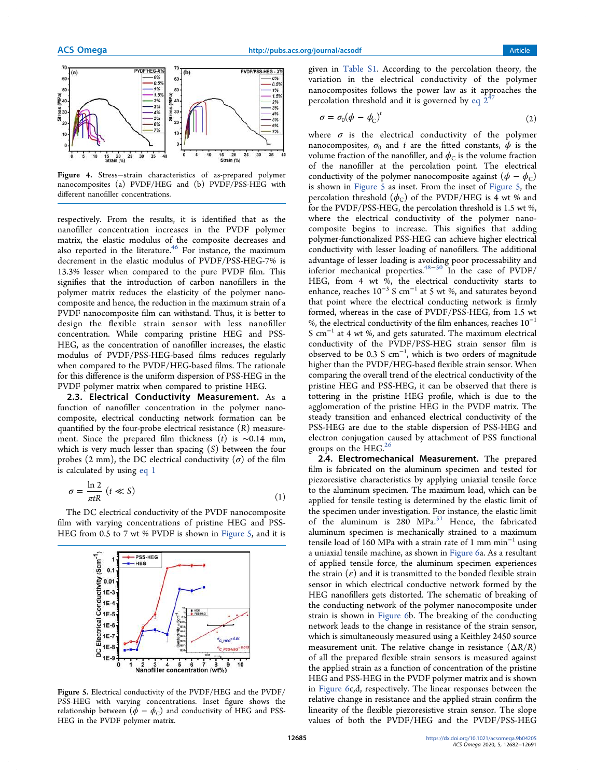

Figure 4. Stress−strain characteristics of as-prepared polymer nanocomposites (a) PVDF/HEG and (b) PVDF/PSS-HEG with different nanofiller concentrations.

respectively. From the results, it is identified that as the nanofiller concentration increases in the PVDF polymer matrix, the elastic modulus of the composite decreases and also reported in the literature.<sup>46</sup> For instance, the maximum decrement in the elastic modulus of PVDF/PSS-HEG-7% is 13.3% lesser when compared to the pure PVDF film. This signifies that the introduction of carbon nanofillers in the polymer matrix reduces the elasticity of the polymer nanocomposite and hence, the reduction in the maximum strain of a PVDF nanocomposite film can withstand. Thus, it is better to design the flexible strain sensor with less nanofiller concentration. While comparing pristine HEG and PSS-HEG, as the concentration of nanofiller increases, the elastic modulus of PVDF/PSS-HEG-based films reduces regularly when compared to the PVDF/HEG-based films. The rationale for this difference is the uniform dispersion of PSS-HEG in the PVDF polymer matrix when compared to pristine HEG.

2.3. Electrical Conductivity Measurement. As a function of nanofiller concentration in the polymer nanocomposite, electrical conducting network formation can be quantified by the four-probe electrical resistance (*R*) measurement. Since the prepared film thickness (*t*) is ∼0.14 mm, which is very much lesser than spacing (*S*) between the four probes (2 mm), the DC electrical conductivity  $(\sigma)$  of the film is calculated by using eq 1

$$
\sigma = \frac{\ln 2}{\pi t R} \ (t \ll S)
$$
 (1)

The DC electrical conductivity of the PVDF nanocomposite film with varying concentrations of pristine HEG and PSS-HEG from 0.5 to 7 wt % PVDF is shown in Figure 5, and it is



Figure 5. Electrical conductivity of the PVDF/HEG and the PVDF/ PSS-HEG with varying concentrations. Inset figure shows the relationship between  $(\phi - \phi_C)$  and conductivity of HEG and PSS-HEG in the PVDF polymer matrix.

given in Table S1. According to the percolation theory, the variation in the electrical conductivity of the polymer nanocomposites follows the power law as it approaches the percolation threshold and it is governed by eq  $2$ 

$$
\sigma = \sigma_0 (\phi - \phi_C)^t \tag{2}
$$

where  $\sigma$  is the electrical conductivity of the polymer nanocomposites,  $\sigma_0$  and *t* are the fitted constants,  $\phi$  is the volume fraction of the nanofiller, and  $\phi_C$  is the volume fraction of the nanofiller at the percolation point. The electrical conductivity of the polymer nanocomposite against  $(\phi - \phi_c)$ is shown in Figure 5 as inset. From the inset of Figure 5, the percolation threshold  $(\phi_C)$  of the PVDF/HEG is 4 wt % and for the PVDF/PSS-HEG, the percolation threshold is 1.5 wt %, where the electrical conductivity of the polymer nanocomposite begins to increase. This signifies that adding polymer-functionalized PSS-HEG can achieve higher electrical conductivity with lesser loading of nanofillers. The additional advantage of lesser loading is avoiding poor processability and inferior mechanical properties.48−<sup>50</sup> In the case of PVDF/ HEG, from 4 wt %, the electrical conductivity starts to enhance, reaches  $10^{-3}$  S cm<sup>-1</sup> at 5 wt %, and saturates beyond that point where the electrical conducting network is firmly formed, whereas in the case of PVDF/PSS-HEG, from 1.5 wt %, the electrical conductivity of the film enhances, reaches  $10^{-1}$ S cm<sup>−</sup><sup>1</sup> at 4 wt %, and gets saturated. The maximum electrical conductivity of the PVDF/PSS-HEG strain sensor film is observed to be 0.3 S  $cm^{-1}$ , which is two orders of magnitude higher than the PVDF/HEG-based flexible strain sensor. When comparing the overall trend of the electrical conductivity of the pristine HEG and PSS-HEG, it can be observed that there is tottering in the pristine HEG profile, which is due to the agglomeration of the pristine HEG in the PVDF matrix. The steady transition and enhanced electrical conductivity of the PSS-HEG are due to the stable dispersion of PSS-HEG and electron conjugation caused by attachment of PSS functional groups on the HEG. $^{26}$ 

2.4. Electromechanical Measurement. The prepared film is fabricated on the aluminum specimen and tested for piezoresistive characteristics by applying uniaxial tensile force to the aluminum specimen. The maximum load, which can be applied for tensile testing is determined by the elastic limit of the specimen under investigation. For instance, the elastic limit of the aluminum is 280 MPa. $51$  Hence, the fabricated aluminum specimen is mechanically strained to a maximum tensile load of 160 MPa with a strain rate of 1 mm min<sup>−</sup><sup>1</sup> using a uniaxial tensile machine, as shown in Figure 6a. As a resultant of applied tensile force, the aluminum specimen experiences the strain  $(\varepsilon)$  and it is transmitted to the bonded flexible strain sensor in which electrical conductive network formed by the HEG nanofillers gets distorted. The schematic of breaking of the conducting network of the polymer nanocomposite under strain is shown in Figure 6b. The breaking of the conducting network leads to the change in resistance of the strain sensor, which is simultaneously measured using a Keithley 2450 source measurement unit. The relative change in resistance (Δ*R*/*R*) of all the prepared flexible strain sensors is measured against the applied strain as a function of concentration of the pristine HEG and PSS-HEG in the PVDF polymer matrix and is shown in Figure 6c,d, respectively. The linear responses between the relative change in resistance and the applied strain confirm the linearity of the flexible piezoresistive strain sensor. The slope values of both the PVDF/HEG and the PVDF/PSS-HEG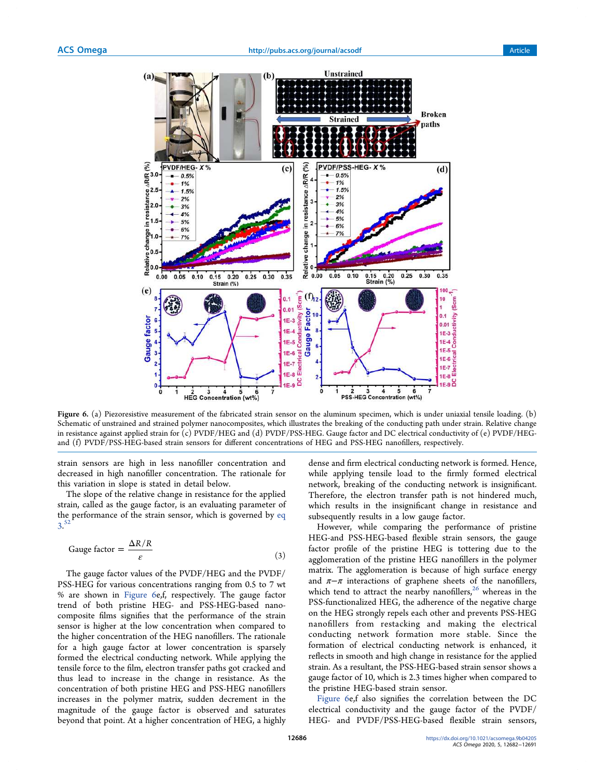

Figure 6. (a) Piezoresistive measurement of the fabricated strain sensor on the aluminum specimen, which is under uniaxial tensile loading. (b) Schematic of unstrained and strained polymer nanocomposites, which illustrates the breaking of the conducting path under strain. Relative change in resistance against applied strain for (c) PVDF/HEG and (d) PVDF/PSS-HEG. Gauge factor and DC electrical conductivity of (e) PVDF/HEGand (f) PVDF/PSS-HEG-based strain sensors for different concentrations of HEG and PSS-HEG nanofillers, respectively.

strain sensors are high in less nanofiller concentration and decreased in high nanofiller concentration. The rationale for this variation in slope is stated in detail below.

The slope of the relative change in resistance for the applied strain, called as the gauge factor, is an evaluating parameter of the performance of the strain sensor, which is governed by eq 3. 52

Gauge factor = 
$$
\frac{\Delta R/R}{\varepsilon}
$$
 (3)

The gauge factor values of the PVDF/HEG and the PVDF/ PSS-HEG for various concentrations ranging from 0.5 to 7 wt % are shown in Figure 6e,f, respectively. The gauge factor trend of both pristine HEG- and PSS-HEG-based nanocomposite films signifies that the performance of the strain sensor is higher at the low concentration when compared to the higher concentration of the HEG nanofillers. The rationale for a high gauge factor at lower concentration is sparsely formed the electrical conducting network. While applying the tensile force to the film, electron transfer paths got cracked and thus lead to increase in the change in resistance. As the concentration of both pristine HEG and PSS-HEG nanofillers increases in the polymer matrix, sudden decrement in the magnitude of the gauge factor is observed and saturates beyond that point. At a higher concentration of HEG, a highly

dense and firm electrical conducting network is formed. Hence, while applying tensile load to the firmly formed electrical network, breaking of the conducting network is insignificant. Therefore, the electron transfer path is not hindered much, which results in the insignificant change in resistance and subsequently results in a low gauge factor.

However, while comparing the performance of pristine HEG-and PSS-HEG-based flexible strain sensors, the gauge factor profile of the pristine HEG is tottering due to the agglomeration of the pristine HEG nanofillers in the polymer matrix. The agglomeration is because of high surface energy and  $\pi-\pi$  interactions of graphene sheets of the nanofillers, which tend to attract the nearby nanofillers, $26$  whereas in the PSS-functionalized HEG, the adherence of the negative charge on the HEG strongly repels each other and prevents PSS-HEG nanofillers from restacking and making the electrical conducting network formation more stable. Since the formation of electrical conducting network is enhanced, it reflects in smooth and high change in resistance for the applied strain. As a resultant, the PSS-HEG-based strain sensor shows a gauge factor of 10, which is 2.3 times higher when compared to the pristine HEG-based strain sensor.

Figure 6e,f also signifies the correlation between the DC electrical conductivity and the gauge factor of the PVDF/ HEG- and PVDF/PSS-HEG-based flexible strain sensors,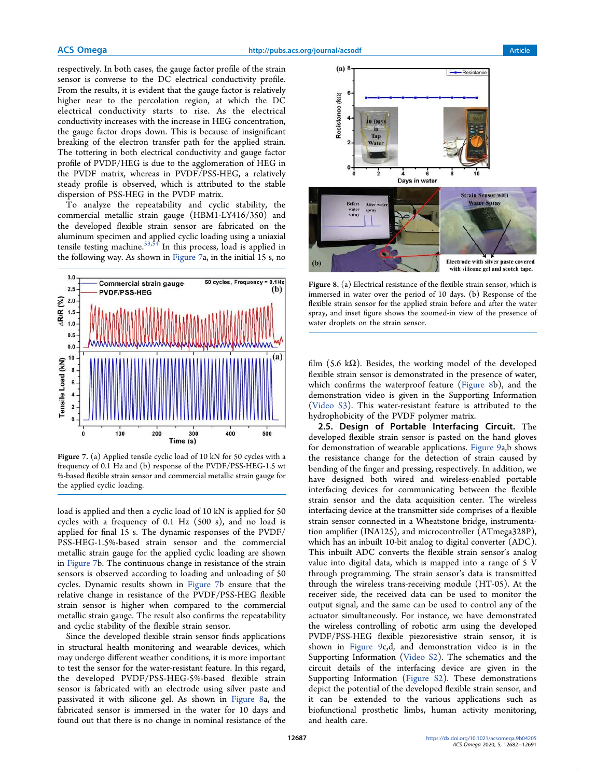respectively. In both cases, the gauge factor profile of the strain sensor is converse to the DC electrical conductivity profile. From the results, it is evident that the gauge factor is relatively higher near to the percolation region, at which the DC electrical conductivity starts to rise. As the electrical conductivity increases with the increase in HEG concentration, the gauge factor drops down. This is because of insignificant breaking of the electron transfer path for the applied strain. The tottering in both electrical conductivity and gauge factor profile of PVDF/HEG is due to the agglomeration of HEG in the PVDF matrix, whereas in PVDF/PSS-HEG, a relatively steady profile is observed, which is attributed to the stable dispersion of PSS-HEG in the PVDF matrix.

To analyze the repeatability and cyclic stability, the commercial metallic strain gauge (HBM1-LY416/350) and the developed flexible strain sensor are fabricated on the aluminum specimen and applied cyclic loading using a uniaxial tensile testing machine.<sup>53,54</sup> In this process, load is applied in the following way. As shown in Figure 7a, in the initial 15 s, no



Figure 7. (a) Applied tensile cyclic load of 10 kN for 50 cycles with a frequency of 0.1 Hz and (b) response of the PVDF/PSS-HEG-1.5 wt %-based flexible strain sensor and commercial metallic strain gauge for the applied cyclic loading.

load is applied and then a cyclic load of 10 kN is applied for 50 cycles with a frequency of 0.1 Hz (500 s), and no load is applied for final 15 s. The dynamic responses of the PVDF/ PSS-HEG-1.5%-based strain sensor and the commercial metallic strain gauge for the applied cyclic loading are shown in Figure 7b. The continuous change in resistance of the strain sensors is observed according to loading and unloading of 50 cycles. Dynamic results shown in Figure 7b ensure that the relative change in resistance of the PVDF/PSS-HEG flexible strain sensor is higher when compared to the commercial metallic strain gauge. The result also confirms the repeatability and cyclic stability of the flexible strain sensor.

Since the developed flexible strain sensor finds applications in structural health monitoring and wearable devices, which may undergo different weather conditions, it is more important to test the sensor for the water-resistant feature. In this regard, the developed PVDF/PSS-HEG-5%-based flexible strain sensor is fabricated with an electrode using silver paste and passivated it with silicone gel. As shown in Figure 8a, the fabricated sensor is immersed in the water for 10 days and found out that there is no change in nominal resistance of the



Figure 8. (a) Electrical resistance of the flexible strain sensor, which is immersed in water over the period of 10 days. (b) Response of the flexible strain sensor for the applied strain before and after the water spray, and inset figure shows the zoomed-in view of the presence of water droplets on the strain sensor.

film (5.6 k $\Omega$ ). Besides, the working model of the developed flexible strain sensor is demonstrated in the presence of water, which confirms the waterproof feature (Figure 8b), and the demonstration video is given in the Supporting Information (Video S3). This water-resistant feature is attributed to the hydrophobicity of the PVDF polymer matrix.

2.5. Design of Portable Interfacing Circuit. The developed flexible strain sensor is pasted on the hand gloves for demonstration of wearable applications. Figure 9a,b shows the resistance change for the detection of strain caused by bending of the finger and pressing, respectively. In addition, we have designed both wired and wireless-enabled portable interfacing devices for communicating between the flexible strain sensor and the data acquisition center. The wireless interfacing device at the transmitter side comprises of a flexible strain sensor connected in a Wheatstone bridge, instrumentation amplifier (INA125), and microcontroller (ATmega328P), which has an inbuilt 10-bit analog to digital converter (ADC). This inbuilt ADC converts the flexible strain sensor's analog value into digital data, which is mapped into a range of 5 V through programming. The strain sensor's data is transmitted through the wireless trans-receiving module (HT-05). At the receiver side, the received data can be used to monitor the output signal, and the same can be used to control any of the actuator simultaneously. For instance, we have demonstrated the wireless controlling of robotic arm using the developed PVDF/PSS-HEG flexible piezoresistive strain sensor, it is shown in Figure 9c,d, and demonstration video is in the Supporting Information (Video S2). The schematics and the circuit details of the interfacing device are given in the Supporting Information (Figure S2). These demonstrations depict the potential of the developed flexible strain sensor, and it can be extended to the various applications such as biofunctional prosthetic limbs, human activity monitoring, and health care.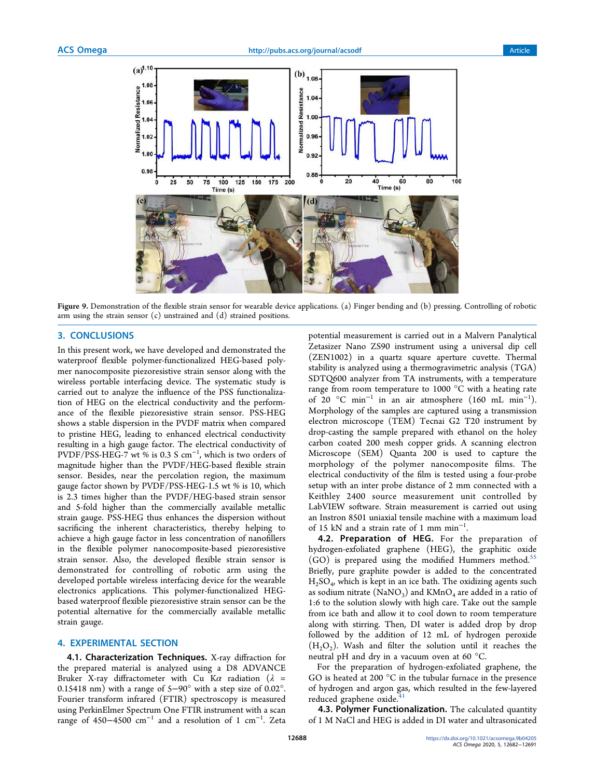

Figure 9. Demonstration of the flexible strain sensor for wearable device applications. (a) Finger bending and (b) pressing. Controlling of robotic arm using the strain sensor (c) unstrained and (d) strained positions.

## 3. CONCLUSIONS

In this present work, we have developed and demonstrated the waterproof flexible polymer-functionalized HEG-based polymer nanocomposite piezoresistive strain sensor along with the wireless portable interfacing device. The systematic study is carried out to analyze the influence of the PSS functionalization of HEG on the electrical conductivity and the performance of the flexible piezoresistive strain sensor. PSS-HEG shows a stable dispersion in the PVDF matrix when compared to pristine HEG, leading to enhanced electrical conductivity resulting in a high gauge factor. The electrical conductivity of  $PVDF/PSS-HEG-7$  wt % is 0.3 S cm<sup>-1</sup>, which is two orders of magnitude higher than the PVDF/HEG-based flexible strain sensor. Besides, near the percolation region, the maximum gauge factor shown by PVDF/PSS-HEG-1.5 wt % is 10, which is 2.3 times higher than the PVDF/HEG-based strain sensor and 5-fold higher than the commercially available metallic strain gauge. PSS-HEG thus enhances the dispersion without sacrificing the inherent characteristics, thereby helping to achieve a high gauge factor in less concentration of nanofillers in the flexible polymer nanocomposite-based piezoresistive strain sensor. Also, the developed flexible strain sensor is demonstrated for controlling of robotic arm using the developed portable wireless interfacing device for the wearable electronics applications. This polymer-functionalized HEGbased waterproof flexible piezoresistive strain sensor can be the potential alternative for the commercially available metallic strain gauge.

#### 4. EXPERIMENTAL SECTION

4.1. Characterization Techniques. X-ray diffraction for the prepared material is analyzed using a D8 ADVANCE Bruker X-ray diffractometer with Cu K $\alpha$  radiation ( $\lambda$  = 0.15418 nm) with a range of 5−90° with a step size of 0.02°. Fourier transform infrared (FTIR) spectroscopy is measured using PerkinElmer Spectrum One FTIR instrument with a scan range of 450–4500  $cm^{-1}$  and a resolution of 1  $cm^{-1}$ . Zeta

potential measurement is carried out in a Malvern Panalytical Zetasizer Nano ZS90 instrument using a universal dip cell (ZEN1002) in a quartz square aperture cuvette. Thermal stability is analyzed using a thermogravimetric analysis (TGA) SDTQ600 analyzer from TA instruments, with a temperature range from room temperature to 1000 °C with a heating rate of 20 °C min<sup>−</sup><sup>1</sup> in an air atmosphere (160 mL min<sup>−</sup><sup>1</sup> ). Morphology of the samples are captured using a transmission electron microscope (TEM) Tecnai G2 T20 instrument by drop-casting the sample prepared with ethanol on the holey carbon coated 200 mesh copper grids. A scanning electron Microscope (SEM) Quanta 200 is used to capture the morphology of the polymer nanocomposite films. The electrical conductivity of the film is tested using a four-probe setup with an inter probe distance of 2 mm connected with a Keithley 2400 source measurement unit controlled by LabVIEW software. Strain measurement is carried out using an Instron 8501 uniaxial tensile machine with a maximum load of 15 kN and a strain rate of 1 mm min<sup>-1</sup>.

4.2. Preparation of HEG. For the preparation of hydrogen-exfoliated graphene (HEG), the graphitic oxide  $(GO)$  is prepared using the modified Hummers method.<sup>55</sup> Briefly, pure graphite powder is added to the concentrated H2SO<sup>4</sup> , which is kept in an ice bath. The oxidizing agents such as sodium nitrate (NaNO<sub>3</sub>) and KMnO<sub>4</sub> are added in a ratio of 1:6 to the solution slowly with high care. Take out the sample from ice bath and allow it to cool down to room temperature along with stirring. Then, DI water is added drop by drop followed by the addition of 12 mL of hydrogen peroxide  $(H<sub>2</sub>O<sub>2</sub>)$ . Wash and filter the solution until it reaches the neutral pH and dry in a vacuum oven at 60 °C.

For the preparation of hydrogen-exfoliated graphene, the GO is heated at 200 °C in the tubular furnace in the presence of hydrogen and argon gas, which resulted in the few-layered reduced graphene oxide.<sup>41</sup>

4.3. Polymer Functionalization. The calculated quantity of 1 M NaCl and HEG is added in DI water and ultrasonicated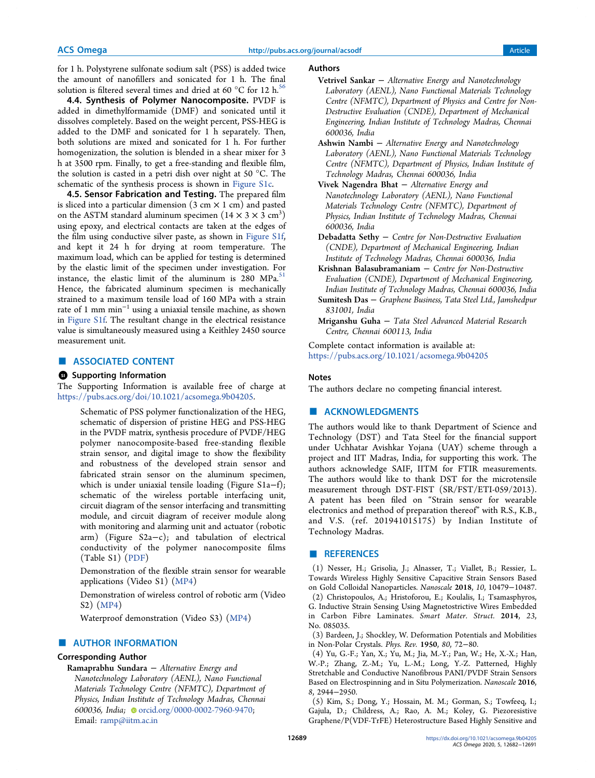for 1 h. Polystyrene sulfonate sodium salt (PSS) is added twice the amount of nanofillers and sonicated for 1 h. The final solution is filtered several times and dried at 60  $^{\circ}$ C for 12 h.<sup>56</sup>

4.4. Synthesis of Polymer Nanocomposite. PVDF is added in dimethylformamide (DMF) and sonicated until it dissolves completely. Based on the weight percent, PSS-HEG is added to the DMF and sonicated for 1 h separately. Then, both solutions are mixed and sonicated for 1 h. For further homogenization, the solution is blended in a shear mixer for 3 h at 3500 rpm. Finally, to get a free-standing and flexible film, the solution is casted in a petri dish over night at 50 °C. The schematic of the synthesis process is shown in Figure S1c.

4.5. Sensor Fabrication and Testing. The prepared film is sliced into a particular dimension  $(3 \text{ cm} \times 1 \text{ cm})$  and pasted on the ASTM standard aluminum specimen  $(14 \times 3 \times 3 \text{ cm}^3)$ using epoxy, and electrical contacts are taken at the edges of the film using conductive silver paste, as shown in Figure S1f, and kept it 24 h for drying at room temperature. The maximum load, which can be applied for testing is determined by the elastic limit of the specimen under investigation. For instance, the elastic limit of the aluminum is  $280$  MPa.<sup>51</sup> Hence, the fabricated aluminum specimen is mechanically strained to a maximum tensile load of 160 MPa with a strain rate of 1 mm  $\min^{-1}$  using a uniaxial tensile machine, as shown in Figure S1f. The resultant change in the electrical resistance value is simultaneously measured using a Keithley 2450 source measurement unit.

# ■ ASSOCIATED CONTENT

#### **<sup>3</sup>** Supporting Information

The Supporting Information is available free of charge at https://pubs.acs.org/doi/10.1021/acsomega.9b04205.

Schematic of PSS polymer functionalization of the HEG, schematic of dispersion of pristine HEG and PSS-HEG in the PVDF matrix, synthesis procedure of PVDF/HEG polymer nanocomposite-based free-standing flexible strain sensor, and digital image to show the flexibility and robustness of the developed strain sensor and fabricated strain sensor on the aluminum specimen, which is under uniaxial tensile loading (Figure S1a−f); schematic of the wireless portable interfacing unit, circuit diagram of the sensor interfacing and transmitting module, and circuit diagram of receiver module along with monitoring and alarming unit and actuator (robotic arm) (Figure S2a−c); and tabulation of electrical conductivity of the polymer nanocomposite films (Table S1) (PDF)

Demonstration of the flexible strain sensor for wearable applications (Video S1) (MP4)

Demonstration of wireless control of robotic arm (Video S2) (MP4)

Waterproof demonstration (Video S3) (MP4)

# ■ AUTHOR INFORMATION

### Corresponding Author

Ramaprabhu Sundara − Alternative Energy and Nanotechnology Laboratory (AENL), Nano Functional Materials Technology Centre (NFMTC), Department of Physics, Indian Institute of Technology Madras, Chennai 600036, India; orcid.org/0000-0002-7960-9470; Email: ramp@iitm.ac.in

#### Authors

- Vetrivel Sankar − Alternative Energy and Nanotechnology Laboratory (AENL), Nano Functional Materials Technology Centre (NFMTC), Department of Physics and Centre for Non-Destructive Evaluation (CNDE), Department of Mechanical Engineering, Indian Institute of Technology Madras, Chennai 600036, India
- Ashwin Nambi − Alternative Energy and Nanotechnology Laboratory (AENL), Nano Functional Materials Technology Centre (NFMTC), Department of Physics, Indian Institute of Technology Madras, Chennai 600036, India
- Vivek Nagendra Bhat − Alternative Energy and Nanotechnology Laboratory (AENL), Nano Functional Materials Technology Centre (NFMTC), Department of Physics, Indian Institute of Technology Madras, Chennai 600036, India
- Debadatta Sethy − Centre for Non-Destructive Evaluation (CNDE), Department of Mechanical Engineering, Indian Institute of Technology Madras, Chennai 600036, India

Krishnan Balasubramaniam  $-$  Centre for Non-Destructive Evaluation (CNDE), Department of Mechanical Engineering, Indian Institute of Technology Madras, Chennai 600036, India Sumitesh Das − Graphene Business, Tata Steel Ltd., Jamshedpur

831001, India Mriganshu Guha − Tata Steel Advanced Material Research Centre, Chennai 600113, India

Complete contact information is available at: https://pubs.acs.org/10.1021/acsomega.9b04205

#### Notes

The authors declare no competing financial interest.

# ■ ACKNOWLEDGMENTS

The authors would like to thank Department of Science and Technology (DST) and Tata Steel for the financial support under Uchhatar Avishkar Yojana (UAY) scheme through a project and IIT Madras, India, for supporting this work. The authors acknowledge SAIF, IITM for FTIR measurements. The authors would like to thank DST for the microtensile measurement through DST-FIST (SR/FST/ETI-059/2013). A patent has been filed on "Strain sensor for wearable electronics and method of preparation thereof" with R.S., K.B., and V.S. (ref. 201941015175) by Indian Institute of Technology Madras.

#### ■ REFERENCES

(1) Nesser, H.; Grisolia, J.; Alnasser, T.; Viallet, B.; Ressier, L. Towards Wireless Highly Sensitive Capacitive Strain Sensors Based on Gold Colloidal Nanoparticles. *Nanoscale* 2018, *10*, 10479−10487. (2) Christopoulos, A.; Hristoforou, E.; Koulalis, I.; Tsamasphyros, G. Inductive Strain Sensing Using Magnetostrictive Wires Embedded in Carbon Fibre Laminates. *Smart Mater. Struct.* 2014, *23*, No. 085035.

(3) Bardeen, J.; Shockley, W. Deformation Potentials and Mobilities in Non-Polar Crystals. *Phys. Rev.* 1950, *80*, 72−80.

(4) Yu, G.-F.; Yan, X.; Yu, M.; Jia, M.-Y.; Pan, W.; He, X.-X.; Han, W.-P.; Zhang, Z.-M.; Yu, L.-M.; Long, Y.-Z. Patterned, Highly Stretchable and Conductive Nanofibrous PANI/PVDF Strain Sensors Based on Electrospinning and in Situ Polymerization. *Nanoscale* 2016, *8*, 2944−2950.

(5) Kim, S.; Dong, Y.; Hossain, M. M.; Gorman, S.; Towfeeq, I.; Gajula, D.; Childress, A.; Rao, A. M.; Koley, G. Piezoresistive Graphene/P(VDF-TrFE) Heterostructure Based Highly Sensitive and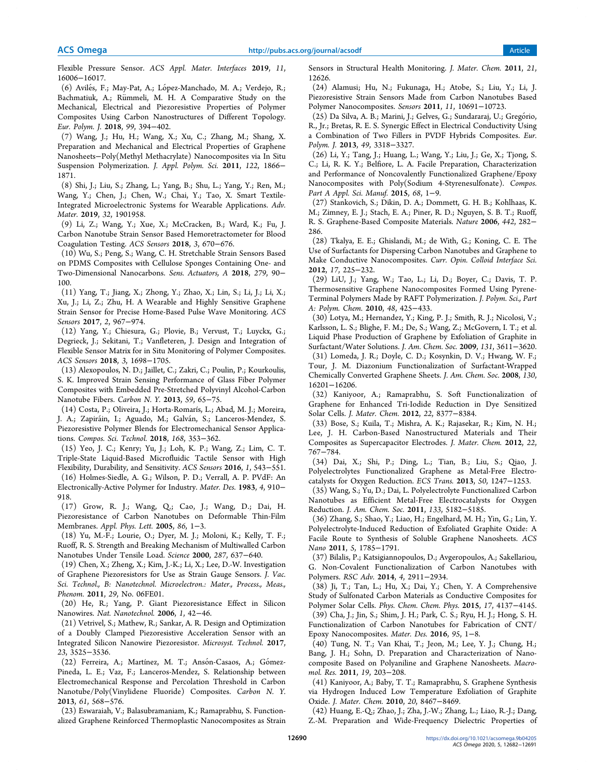Flexible Pressure Sensor. *ACS Appl. Mater. Interfaces* 2019, *11*, 16006−16017.

(6) Avilés, F.; May-Pat, A.; López-Manchado, M. A.; Verdejo, R.; Bachmatiuk, A.; Rümmeli, M. H. A Comparative Study on the Mechanical, Electrical and Piezoresistive Properties of Polymer Composites Using Carbon Nanostructures of Different Topology. *Eur. Polym. J.* 2018, *99*, 394−402.

(7) Wang, J.; Hu, H.; Wang, X.; Xu, C.; Zhang, M.; Shang, X. Preparation and Mechanical and Electrical Properties of Graphene Nanosheets−Poly(Methyl Methacrylate) Nanocomposites via In Situ Suspension Polymerization. *J. Appl. Polym. Sci.* 2011, *122*, 1866− 1871.

(8) Shi, J.; Liu, S.; Zhang, L.; Yang, B.; Shu, L.; Yang, Y.; Ren, M.; Wang, Y.; Chen, J.; Chen, W.; Chai, Y.; Tao, X. Smart Textile-Integrated Microelectronic Systems for Wearable Applications. *Adv. Mater.* 2019, *32*, 1901958.

(9) Li, Z.; Wang, Y.; Xue, X.; McCracken, B.; Ward, K.; Fu, J. Carbon Nanotube Strain Sensor Based Hemoretractometer for Blood Coagulation Testing. *ACS Sensors* 2018, *3*, 670−676.

(10) Wu, S.; Peng, S.; Wang, C. H. Stretchable Strain Sensors Based on PDMS Composites with Cellulose Sponges Containing One- and Two-Dimensional Nanocarbons. *Sens. Actuators, A* 2018, *279*, 90− 100.

(11) Yang, T.; Jiang, X.; Zhong, Y.; Zhao, X.; Lin, S.; Li, J.; Li, X.; Xu, J.; Li, Z.; Zhu, H. A Wearable and Highly Sensitive Graphene Strain Sensor for Precise Home-Based Pulse Wave Monitoring. *ACS Sensors* 2017, *2*, 967−974.

(12) Yang, Y.; Chiesura, G.; Plovie, B.; Vervust, T.; Luyckx, G.; Degrieck, J.; Sekitani, T.; Vanfleteren, J. Design and Integration of Flexible Sensor Matrix for in Situ Monitoring of Polymer Composites. *ACS Sensors* 2018, *3*, 1698−1705.

(13) Alexopoulos, N. D.; Jaillet, C.; Zakri, C.; Poulin, P.; Kourkoulis, S. K. Improved Strain Sensing Performance of Glass Fiber Polymer Composites with Embedded Pre-Stretched Polyvinyl Alcohol-Carbon Nanotube Fibers. *Carbon N. Y.* 2013, *59*, 65−75.

(14) Costa, P.; Oliveira, J.; Horta-Romarís, L.; Abad, M. J.; Moreira, J. A.; Zapiráin, I.; Aguado, M.; Galván, S.; Lanceros-Mendez, S. Piezoresistive Polymer Blends for Electromechanical Sensor Applications. *Compos. Sci. Technol.* 2018, *168*, 353−362.

(15) Yeo, J. C.; Kenry; Yu, J.; Loh, K. P.; Wang, Z.; Lim, C. T. Triple-State Liquid-Based Microfluidic Tactile Sensor with High Flexibility, Durability, and Sensitivity. *ACS Sensors* 2016, *1*, 543−551.

(16) Holmes-Siedle, A. G.; Wilson, P. D.; Verrall, A. P. PVdF: An Electronically-Active Polymer for Industry. *Mater. Des.* 1983, *4*, 910− 918.

(17) Grow, R. J.; Wang, Q.; Cao, J.; Wang, D.; Dai, H. Piezoresistance of Carbon Nanotubes on Deformable Thin-Film Membranes. *Appl. Phys. Lett.* 2005, *86*, 1−3.

(18) Yu, M.-F.; Lourie, O.; Dyer, M. J.; Moloni, K.; Kelly, T. F.; Ruoff, R. S. Strength and Breaking Mechanism of Multiwalled Carbon Nanotubes Under Tensile Load. *Science* 2000, *287*, 637−640.

(19) Chen, X.; Zheng, X.; Kim, J.-K.; Li, X.; Lee, D.-W. Investigation of Graphene Piezoresistors for Use as Strain Gauge Sensors. *J. Vac. Sci. Technol., B: Nanotechnol. Microelectron.: Mater., Process., Meas., Phenom.* 2011, *29*, No. 06FE01.

(20) He, R.; Yang, P. Giant Piezoresistance Effect in Silicon Nanowires. *Nat. Nanotechnol.* 2006, *1*, 42−46.

(21) Vetrivel, S.; Mathew, R.; Sankar, A. R. Design and Optimization of a Doubly Clamped Piezoresistive Acceleration Sensor with an Integrated Silicon Nanowire Piezoresistor. *Microsyst. Technol.* 2017, *23*, 3525−3536.

(22) Ferreira, A.; Martínez, M. T.; Ansón-Casaos, A.; Gómez-Pineda, L. E.; Vaz, F.; Lanceros-Mendez, S. Relationship between Electromechanical Response and Percolation Threshold in Carbon Nanotube/Poly(Vinylidene Fluoride) Composites. *Carbon N. Y.* 2013, *61*, 568−576.

(23) Eswaraiah, V.; Balasubramaniam, K.; Ramaprabhu, S. Functionalized Graphene Reinforced Thermoplastic Nanocomposites as Strain Sensors in Structural Health Monitoring. *J. Mater. Chem.* 2011, *21*, 12626.

(24) Alamusi; Hu, N.; Fukunaga, H.; Atobe, S.; Liu, Y.; Li, J. Piezoresistive Strain Sensors Made from Carbon Nanotubes Based Polymer Nanocomposites. *Sensors* 2011, *11*, 10691−10723.

(25) Da Silva, A. B.; Marini, J.; Gelves, G.; Sundararaj, U.; Gregório, R., Jr.; Bretas, R. E. S. Synergic Effect in Electrical Conductivity Using a Combination of Two Fillers in PVDF Hybrids Composites. *Eur. Polym. J.* 2013, *49*, 3318−3327.

(26) Li, Y.; Tang, J.; Huang, L.; Wang, Y.; Liu, J.; Ge, X.; Tjong, S. C.; Li, R. K. Y.; Belfiore, L. A. Facile Preparation, Characterization and Performance of Noncovalently Functionalized Graphene/Epoxy Nanocomposites with Poly(Sodium 4-Styrenesulfonate). *Compos. Part A Appl. Sci. Manuf.* 2015, *68*, 1−9.

(27) Stankovich, S.; Dikin, D. A.; Dommett, G. H. B.; Kohlhaas, K. M.; Zimney, E. J.; Stach, E. A.; Piner, R. D.; Nguyen, S. B. T.; Ruoff, R. S. Graphene-Based Composite Materials. *Nature* 2006, *442*, 282− 286.

(28) Tkalya, E. E.; Ghislandi, M.; de With, G.; Koning, C. E. The Use of Surfactants for Dispersing Carbon Nanotubes and Graphene to Make Conductive Nanocomposites. *Curr. Opin. Colloid Interface Sci.* 2012, *17*, 225−232.

(29) LiU, J.; Yang, W.; Tao, L.; Li, D.; Boyer, C.; Davis, T. P. Thermosensitive Graphene Nanocomposites Formed Using Pyrene-Terminal Polymers Made by RAFT Polymerization. *J. Polym. Sci., Part A: Polym. Chem.* 2010, *48*, 425−433.

(30) Lotya, M.; Hernandez, Y.; King, P. J.; Smith, R. J.; Nicolosi, V.; Karlsson, L. S.; Blighe, F. M.; De, S.; Wang, Z.; McGovern, I. T.; et al. Liquid Phase Production of Graphene by Exfoliation of Graphite in Surfactant/Water Solutions. *J. Am. Chem. Soc.* 2009, *131*, 3611−3620.

(31) Lomeda, J. R.; Doyle, C. D.; Kosynkin, D. V.; Hwang, W. F.; Tour, J. M. Diazonium Functionalization of Surfactant-Wrapped Chemically Converted Graphene Sheets. *J. Am. Chem. Soc.* 2008, *130*, 16201−16206.

(32) Kaniyoor, A.; Ramaprabhu, S. Soft Functionalization of Graphene for Enhanced Tri-Iodide Reduction in Dye Sensitized Solar Cells. *J. Mater. Chem.* 2012, *22*, 8377−8384.

(33) Bose, S.; Kuila, T.; Mishra, A. K.; Rajasekar, R.; Kim, N. H.; Lee, J. H. Carbon-Based Nanostructured Materials and Their Composites as Supercapacitor Electrodes. *J. Mater. Chem.* 2012, *22*, 767−784.

(34) Dai, X.; Shi, P.; Ding, L.; Tian, B.; Liu, S.; Qiao, J. Polyelectrolytes Functionalized Graphene as Metal-Free Electrocatalysts for Oxygen Reduction. *ECS Trans.* 2013, *50*, 1247−1253.

(35) Wang, S.; Yu, D.; Dai, L. Polyelectrolyte Functionalized Carbon Nanotubes as Efficient Metal-Free Electrocatalysts for Oxygen Reduction. *J. Am. Chem. Soc.* 2011, *133*, 5182−5185.

(36) Zhang, S.; Shao, Y.; Liao, H.; Engelhard, M. H.; Yin, G.; Lin, Y. Polyelectrolyte-Induced Reduction of Exfoliated Graphite Oxide: A Facile Route to Synthesis of Soluble Graphene Nanosheets. *ACS Nano* 2011, *5*, 1785−1791.

(37) Bilalis, P.; Katsigiannopoulos, D.; Avgeropoulos, A.; Sakellariou, G. Non-Covalent Functionalization of Carbon Nanotubes with Polymers. *RSC Adv.* 2014, *4*, 2911−2934.

(38) Ji, T.; Tan, L.; Hu, X.; Dai, Y.; Chen, Y. A Comprehensive Study of Sulfonated Carbon Materials as Conductive Composites for Polymer Solar Cells. *Phys. Chem. Chem. Phys.* 2015, *17*, 4137−4145.

(39) Cha, J.; Jin, S.; Shim, J. H.; Park, C. S.; Ryu, H. J.; Hong, S. H. Functionalization of Carbon Nanotubes for Fabrication of CNT/ Epoxy Nanocomposites. *Mater. Des.* 2016, *95*, 1−8.

(40) Tung, N. T.; Van Khai, T.; Jeon, M.; Lee, Y. J.; Chung, H.; Bang, J. H.; Sohn, D. Preparation and Characterization of Nanocomposite Based on Polyaniline and Graphene Nanosheets. *Macromol. Res.* 2011, *19*, 203−208.

(41) Kaniyoor, A.; Baby, T. T.; Ramaprabhu, S. Graphene Synthesis via Hydrogen Induced Low Temperature Exfoliation of Graphite Oxide. *J. Mater. Chem.* 2010, *20*, 8467−8469.

(42) Huang, E.-Q.; Zhao, J.; Zha, J.-W.; Zhang, L.; Liao, R.-J.; Dang, Z.-M. Preparation and Wide-Frequency Dielectric Properties of